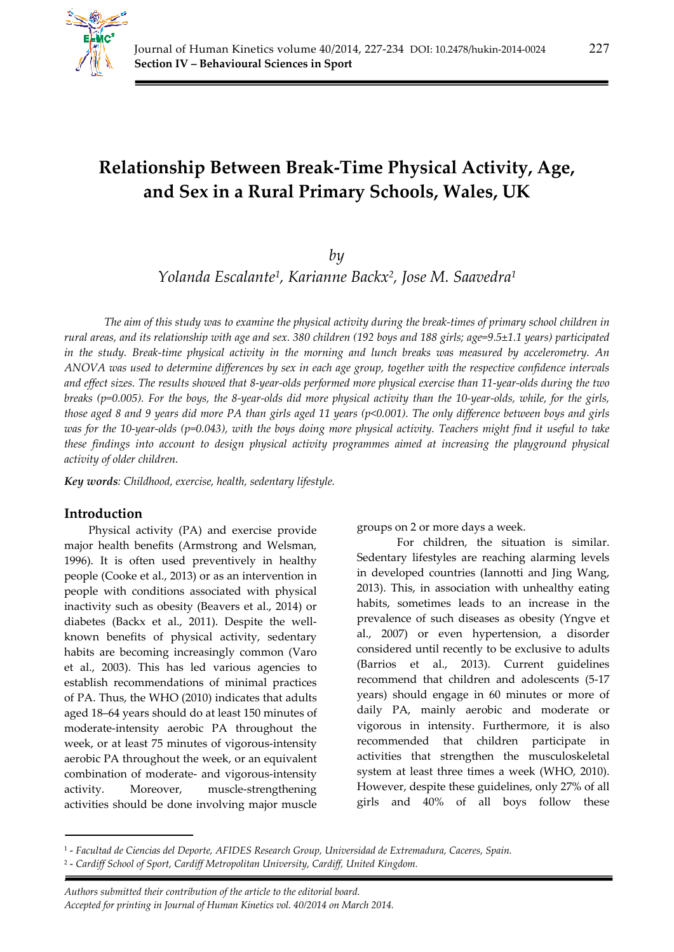

# **Relationship Between Break-Time Physical Activity, Age, and Sex in a Rural Primary Schools, Wales, UK**

## *by*

*Yolanda Escalante1, Karianne Backx2, Jose M. Saavedra1*

*The aim of this study was to examine the physical activity during the break-times of primary school children in rural areas, and its relationship with age and sex. 380 children (192 boys and 188 girls; age=9.5±1.1 years) participated in the study. Break-time physical activity in the morning and lunch breaks was measured by accelerometry. An ANOVA was used to determine differences by sex in each age group, together with the respective confidence intervals and effect sizes. The results showed that 8-year-olds performed more physical exercise than 11-year-olds during the two breaks (p=0.005). For the boys, the 8-year-olds did more physical activity than the 10-year-olds, while, for the girls, those aged 8 and 9 years did more PA than girls aged 11 years (p<0.001). The only difference between boys and girls was for the 10-year-olds (p=0.043), with the boys doing more physical activity. Teachers might find it useful to take these findings into account to design physical activity programmes aimed at increasing the playground physical activity of older children.* 

*Key words: Childhood, exercise, health, sedentary lifestyle.* 

## **Introduction**

*.* 

Physical activity (PA) and exercise provide major health benefits (Armstrong and Welsman, 1996). It is often used preventively in healthy people (Cooke et al., 2013) or as an intervention in people with conditions associated with physical inactivity such as obesity (Beavers et al., 2014) or diabetes (Backx et al., 2011). Despite the wellknown benefits of physical activity, sedentary habits are becoming increasingly common (Varo et al., 2003). This has led various agencies to establish recommendations of minimal practices of PA. Thus, the WHO (2010) indicates that adults aged 18–64 years should do at least 150 minutes of moderate-intensity aerobic PA throughout the week, or at least 75 minutes of vigorous-intensity aerobic PA throughout the week, or an equivalent combination of moderate- and vigorous-intensity activity. Moreover, muscle-strengthening activities should be done involving major muscle

groups on 2 or more days a week.

For children, the situation is similar. Sedentary lifestyles are reaching alarming levels in developed countries (Iannotti and Jing Wang, 2013). This, in association with unhealthy eating habits, sometimes leads to an increase in the prevalence of such diseases as obesity (Yngve et al., 2007) or even hypertension, a disorder considered until recently to be exclusive to adults (Barrios et al., 2013). Current guidelines recommend that children and adolescents (5-17 years) should engage in 60 minutes or more of daily PA, mainly aerobic and moderate or vigorous in intensity. Furthermore, it is also recommended that children participate in activities that strengthen the musculoskeletal system at least three times a week (WHO, 2010). However, despite these guidelines, only 27% of all girls and 40% of all boys follow these

*Authors submitted their contribution of the article to the editorial board. Accepted for printing in Journal of Human Kinetics vol. 40/2014 on March 2014.* 

<sup>1 -</sup> *Facultad de Ciencias del Deporte, AFIDES Research Group, Universidad de Extremadura, Caceres, Spain.* 

<sup>2 -</sup> *Cardiff School of Sport, Cardiff Metropolitan University, Cardiff, United Kingdom.*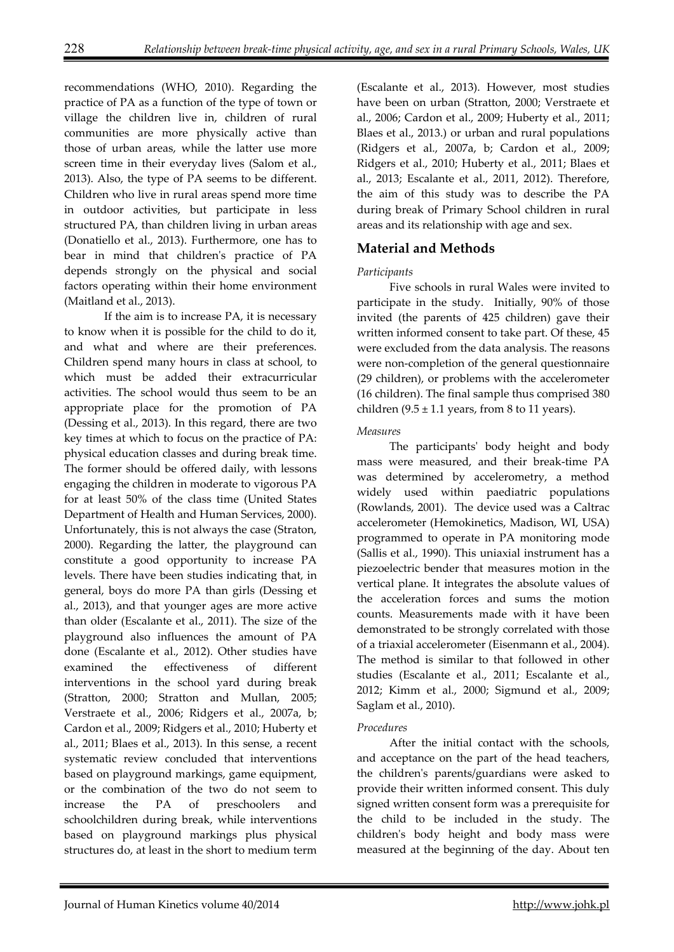recommendations (WHO, 2010). Regarding the practice of PA as a function of the type of town or village the children live in, children of rural communities are more physically active than those of urban areas, while the latter use more screen time in their everyday lives (Salom et al., 2013). Also, the type of PA seems to be different. Children who live in rural areas spend more time in outdoor activities, but participate in less structured PA, than children living in urban areas (Donatiello et al., 2013). Furthermore, one has to bear in mind that children's practice of PA depends strongly on the physical and social factors operating within their home environment (Maitland et al., 2013).

If the aim is to increase PA, it is necessary to know when it is possible for the child to do it, and what and where are their preferences. Children spend many hours in class at school, to which must be added their extracurricular activities. The school would thus seem to be an appropriate place for the promotion of PA (Dessing et al., 2013). In this regard, there are two key times at which to focus on the practice of PA: physical education classes and during break time. The former should be offered daily, with lessons engaging the children in moderate to vigorous PA for at least 50% of the class time (United States Department of Health and Human Services, 2000). Unfortunately, this is not always the case (Straton, 2000). Regarding the latter, the playground can constitute a good opportunity to increase PA levels. There have been studies indicating that, in general, boys do more PA than girls (Dessing et al., 2013), and that younger ages are more active than older (Escalante et al., 2011). The size of the playground also influences the amount of PA done (Escalante et al., 2012). Other studies have examined the effectiveness of different interventions in the school yard during break (Stratton, 2000; Stratton and Mullan, 2005; Verstraete et al., 2006; Ridgers et al., 2007a, b; Cardon et al., 2009; Ridgers et al., 2010; Huberty et al., 2011; Blaes et al., 2013). In this sense, a recent systematic review concluded that interventions based on playground markings, game equipment, or the combination of the two do not seem to increase the PA of preschoolers and schoolchildren during break, while interventions based on playground markings plus physical structures do, at least in the short to medium term

(Escalante et al., 2013). However, most studies have been on urban (Stratton, 2000; Verstraete et al., 2006; Cardon et al., 2009; Huberty et al., 2011; Blaes et al., 2013.) or urban and rural populations (Ridgers et al., 2007a, b; Cardon et al., 2009; Ridgers et al., 2010; Huberty et al., 2011; Blaes et al., 2013; Escalante et al., 2011, 2012). Therefore, the aim of this study was to describe the PA during break of Primary School children in rural areas and its relationship with age and sex.

## **Material and Methods**

## *Participants*

Five schools in rural Wales were invited to participate in the study. Initially, 90% of those invited (the parents of 425 children) gave their written informed consent to take part. Of these, 45 were excluded from the data analysis. The reasons were non-completion of the general questionnaire (29 children), or problems with the accelerometer (16 children). The final sample thus comprised 380 children  $(9.5 \pm 1.1$  years, from 8 to 11 years).

## *Measures*

The participants' body height and body mass were measured, and their break-time PA was determined by accelerometry, a method widely used within paediatric populations (Rowlands, 2001). The device used was a Caltrac accelerometer (Hemokinetics, Madison, WI, USA) programmed to operate in PA monitoring mode (Sallis et al., 1990). This uniaxial instrument has a piezoelectric bender that measures motion in the vertical plane. It integrates the absolute values of the acceleration forces and sums the motion counts. Measurements made with it have been demonstrated to be strongly correlated with those of a triaxial accelerometer (Eisenmann et al., 2004). The method is similar to that followed in other studies (Escalante et al., 2011; Escalante et al., 2012; Kimm et al., 2000; Sigmund et al., 2009; Saglam et al., 2010).

## *Procedures*

After the initial contact with the schools, and acceptance on the part of the head teachers, the children's parents/guardians were asked to provide their written informed consent. This duly signed written consent form was a prerequisite for the child to be included in the study. The children's body height and body mass were measured at the beginning of the day. About ten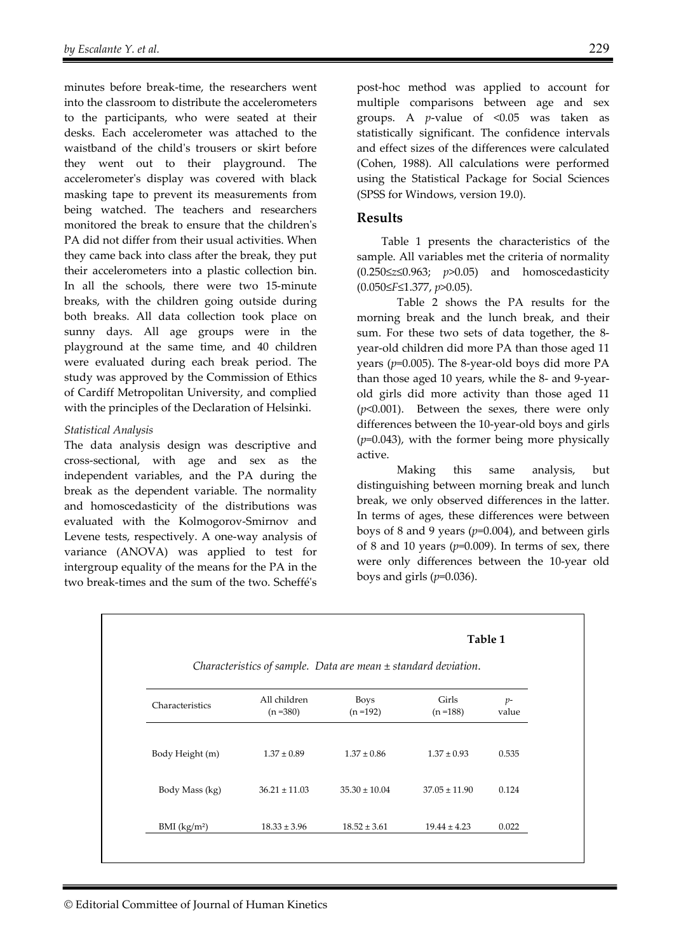minutes before break-time, the researchers went into the classroom to distribute the accelerometers to the participants, who were seated at their desks. Each accelerometer was attached to the waistband of the child's trousers or skirt before they went out to their playground. The accelerometer's display was covered with black masking tape to prevent its measurements from being watched. The teachers and researchers monitored the break to ensure that the children's PA did not differ from their usual activities. When they came back into class after the break, they put their accelerometers into a plastic collection bin. In all the schools, there were two 15-minute breaks, with the children going outside during both breaks. All data collection took place on sunny days. All age groups were in the playground at the same time, and 40 children were evaluated during each break period. The study was approved by the Commission of Ethics of Cardiff Metropolitan University, and complied with the principles of the Declaration of Helsinki.

#### *Statistical Analysis*

The data analysis design was descriptive and cross-sectional, with age and sex as the independent variables, and the PA during the break as the dependent variable. The normality and homoscedasticity of the distributions was evaluated with the Kolmogorov-Smirnov and Levene tests, respectively. A one-way analysis of variance (ANOVA) was applied to test for intergroup equality of the means for the PA in the two break-times and the sum of the two. Scheffé's post-hoc method was applied to account for multiple comparisons between age and sex groups. A *p*-value of <0.05 was taken as statistically significant. The confidence intervals and effect sizes of the differences were calculated (Cohen, 1988). All calculations were performed using the Statistical Package for Social Sciences (SPSS for Windows, version 19.0).

## **Results**

Table 1 presents the characteristics of the sample. All variables met the criteria of normality (0.250≤*z*≤0.963; *p*>0.05) and homoscedasticity (0.050≤*F*≤1.377, *p*>0.05).

Table 2 shows the PA results for the morning break and the lunch break, and their sum. For these two sets of data together, the 8 year-old children did more PA than those aged 11 years (*p*=0.005). The 8-year-old boys did more PA than those aged 10 years, while the 8- and 9-yearold girls did more activity than those aged 11 (*p*<0.001). Between the sexes, there were only differences between the 10-year-old boys and girls (*p*=0.043), with the former being more physically active.

Making this same analysis, but distinguishing between morning break and lunch break, we only observed differences in the latter. In terms of ages, these differences were between boys of 8 and 9 years (*p*=0.004), and between girls of 8 and 10 years ( $p$ =0.009). In terms of sex, there were only differences between the 10-year old boys and girls (*p*=0.036).

|                                                                    |                             |                            | Table 1              |                        |  |  |  |  |
|--------------------------------------------------------------------|-----------------------------|----------------------------|----------------------|------------------------|--|--|--|--|
| Characteristics of sample. Data are mean $\pm$ standard deviation. |                             |                            |                      |                        |  |  |  |  |
| Characteristics                                                    | All children<br>$(n = 380)$ | <b>Boys</b><br>$(n = 192)$ | Girls<br>$(n = 188)$ | $p-$<br>value<br>0.535 |  |  |  |  |
| Body Height (m)                                                    | $1.37 \pm 0.89$             | $1.37 \pm 0.86$            | $1.37 \pm 0.93$      |                        |  |  |  |  |
| Body Mass (kg)                                                     | $36.21 \pm 11.03$           | $35.30 \pm 10.04$          | $37.05 \pm 11.90$    | 0.124                  |  |  |  |  |
| $BMI$ (kg/m <sup>2</sup> )                                         | $18.33 \pm 3.96$            | $18.52 \pm 3.61$           | $19.44 \pm 4.23$     | 0.022                  |  |  |  |  |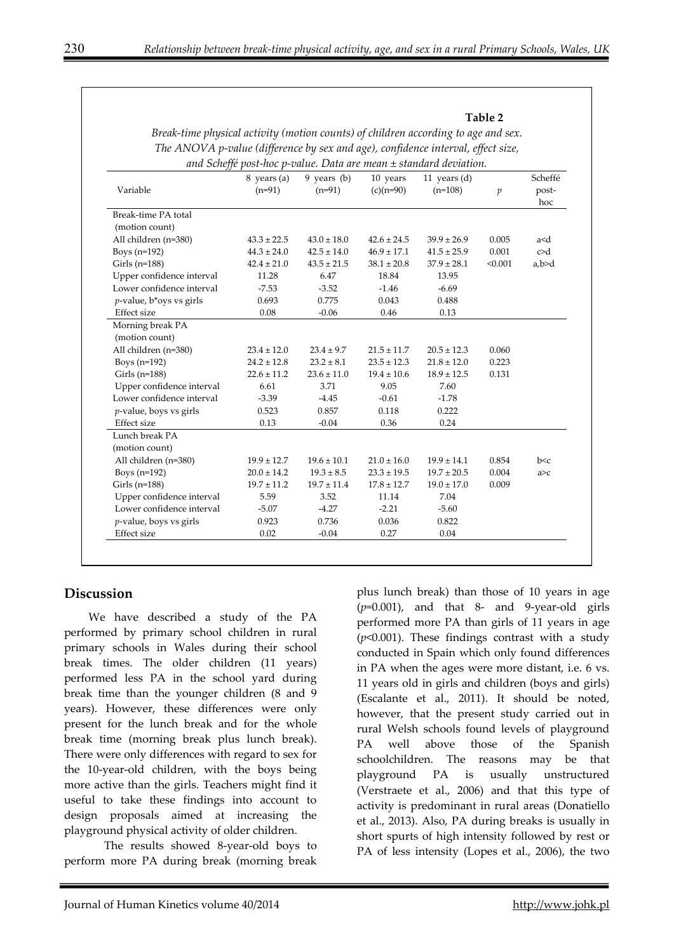**Table 2** 

| Variable                  | $8$ years (a)<br>$(n=91)$ | $9$ years (b)<br>$(n=91)$ | 10 years<br>$(c)(n=90)$ | 11 years $(d)$<br>$(n=108)$ | $\mathfrak{p}$ | Scheffé<br>post-<br>hoc |
|---------------------------|---------------------------|---------------------------|-------------------------|-----------------------------|----------------|-------------------------|
| Break-time PA total       |                           |                           |                         |                             |                |                         |
| (motion count)            |                           |                           |                         |                             |                |                         |
| All children (n=380)      | $43.3 \pm 22.5$           | $43.0 \pm 18.0$           | $42.6 \pm 24.5$         | $39.9 \pm 26.9$             | 0.005          | a <d< td=""></d<>       |
| Boys $(n=192)$            | $44.3 \pm 24.0$           | $42.5 \pm 14.0$           | $46.9 \pm 17.1$         | $41.5 \pm 25.9$             | 0.001          | c>d                     |
| Girls $(n=188)$           | $42.4 \pm 21.0$           | $43.5 \pm 21.5$           | $38.1 \pm 20.8$         | $37.9 \pm 28.1$             | < 0.001        | a,b>d                   |
| Upper confidence interval | 11.28                     | 6.47                      | 18.84                   | 13.95                       |                |                         |
| Lower confidence interval | $-7.53$                   | $-3.52$                   | $-1.46$                 | $-6.69$                     |                |                         |
| p-value, b*oys vs girls   | 0.693                     | 0.775                     | 0.043                   | 0.488                       |                |                         |
| Effect size               | 0.08                      | $-0.06$                   | 0.46                    | 0.13                        |                |                         |
| Morning break PA          |                           |                           |                         |                             |                |                         |
| (motion count)            |                           |                           |                         |                             |                |                         |
| All children (n=380)      | $23.4 \pm 12.0$           | $23.4 \pm 9.7$            | $21.5 \pm 11.7$         | $20.5 \pm 12.3$             | 0.060          |                         |
| Boys $(n=192)$            | $24.2 \pm 12.8$           | $23.2 \pm 8.1$            | $23.5 \pm 12.3$         | $21.8 \pm 12.0$             | 0.223          |                         |
| Girls (n=188)             | $22.6 \pm 11.2$           | $23.6 \pm 11.0$           | $19.4 \pm 10.6$         | $18.9 \pm 12.5$             | 0.131          |                         |
| Upper confidence interval | 6.61                      | 3.71                      | 9.05                    | 7.60                        |                |                         |
| Lower confidence interval | $-3.39$                   | $-4.45$                   | $-0.61$                 | $-1.78$                     |                |                         |
| $p$ -value, boys vs girls | 0.523                     | 0.857                     | 0.118                   | 0.222                       |                |                         |
| Effect size               | 0.13                      | $-0.04$                   | 0.36                    | 0.24                        |                |                         |
| Lunch break PA            |                           |                           |                         |                             |                |                         |
| (motion count)            |                           |                           |                         |                             |                |                         |
| All children (n=380)      | $19.9 \pm 12.7$           | $19.6 \pm 10.1$           | $21.0 \pm 16.0$         | $19.9 \pm 14.1$             | 0.854          | b < c                   |
| Boys $(n=192)$            | $20.0 \pm 14.2$           | $19.3 \pm 8.5$            | $23.3 \pm 19.5$         | $19.7 \pm 20.5$             | 0.004          | a > c                   |
| Girls ( $n=188$ )         | $19.7 \pm 11.2$           | $19.7 \pm 11.4$           | $17.8 \pm 12.7$         | $19.0 \pm 17.0$             | 0.009          |                         |
| Upper confidence interval | 5.59                      | 3.52                      | 11.14                   | 7.04                        |                |                         |
| Lower confidence interval | $-5.07$                   | $-4.27$                   | $-2.21$                 | $-5.60$                     |                |                         |
| $p$ -value, boys vs girls | 0.923                     | 0.736                     | 0.036                   | 0.822                       |                |                         |
| <b>Effect</b> size        | 0.02                      | $-0.04$                   | 0.27                    | 0.04                        |                |                         |

*Break-time physical activity (motion counts) of children according to age and sex. The ANOVA p-value (difference by sex and age), confidence interval, effect size,* 

## **Discussion**

We have described a study of the PA performed by primary school children in rural primary schools in Wales during their school break times. The older children (11 years) performed less PA in the school yard during break time than the younger children (8 and 9 years). However, these differences were only present for the lunch break and for the whole break time (morning break plus lunch break). There were only differences with regard to sex for the 10-year-old children, with the boys being more active than the girls. Teachers might find it useful to take these findings into account to design proposals aimed at increasing the playground physical activity of older children.

The results showed 8-year-old boys to perform more PA during break (morning break plus lunch break) than those of 10 years in age (*p*=0.001), and that 8- and 9-year-old girls performed more PA than girls of 11 years in age (*p*<0.001). These findings contrast with a study conducted in Spain which only found differences in PA when the ages were more distant, i.e. 6 vs. 11 years old in girls and children (boys and girls) (Escalante et al., 2011). It should be noted, however, that the present study carried out in rural Welsh schools found levels of playground PA well above those of the Spanish schoolchildren. The reasons may be that playground PA is usually unstructured (Verstraete et al., 2006) and that this type of activity is predominant in rural areas (Donatiello et al., 2013). Also, PA during breaks is usually in short spurts of high intensity followed by rest or PA of less intensity (Lopes et al., 2006), the two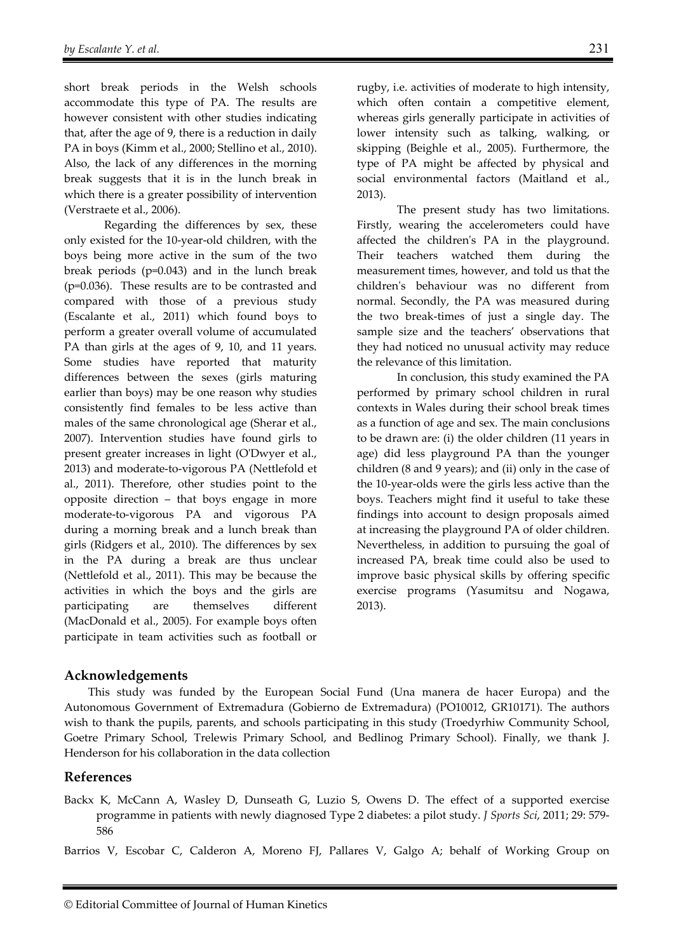short break periods in the Welsh schools accommodate this type of PA. The results are however consistent with other studies indicating that, after the age of 9, there is a reduction in daily PA in boys (Kimm et al., 2000; Stellino et al., 2010). Also, the lack of any differences in the morning break suggests that it is in the lunch break in which there is a greater possibility of intervention (Verstraete et al., 2006).

Regarding the differences by sex, these only existed for the 10-year-old children, with the boys being more active in the sum of the two break periods (p=0.043) and in the lunch break (p=0.036). These results are to be contrasted and compared with those of a previous study (Escalante et al., 2011) which found boys to perform a greater overall volume of accumulated PA than girls at the ages of 9, 10, and 11 years. Some studies have reported that maturity differences between the sexes (girls maturing earlier than boys) may be one reason why studies consistently find females to be less active than males of the same chronological age (Sherar et al., 2007). Intervention studies have found girls to present greater increases in light (O'Dwyer et al., 2013) and moderate-to-vigorous PA (Nettlefold et al., 2011). Therefore, other studies point to the opposite direction – that boys engage in more moderate-to-vigorous PA and vigorous PA during a morning break and a lunch break than girls (Ridgers et al., 2010). The differences by sex in the PA during a break are thus unclear (Nettlefold et al., 2011). This may be because the activities in which the boys and the girls are participating are themselves different (MacDonald et al., 2005). For example boys often participate in team activities such as football or rugby, i.e. activities of moderate to high intensity, which often contain a competitive element, whereas girls generally participate in activities of lower intensity such as talking, walking, or skipping (Beighle et al., 2005). Furthermore, the type of PA might be affected by physical and social environmental factors (Maitland et al., 2013).

The present study has two limitations. Firstly, wearing the accelerometers could have affected the children's PA in the playground. Their teachers watched them during the measurement times, however, and told us that the children's behaviour was no different from normal. Secondly, the PA was measured during the two break-times of just a single day. The sample size and the teachers' observations that they had noticed no unusual activity may reduce the relevance of this limitation.

In conclusion, this study examined the PA performed by primary school children in rural contexts in Wales during their school break times as a function of age and sex. The main conclusions to be drawn are: (i) the older children (11 years in age) did less playground PA than the younger children (8 and 9 years); and (ii) only in the case of the 10-year-olds were the girls less active than the boys. Teachers might find it useful to take these findings into account to design proposals aimed at increasing the playground PA of older children. Nevertheless, in addition to pursuing the goal of increased PA, break time could also be used to improve basic physical skills by offering specific exercise programs (Yasumitsu and Nogawa, 2013).

## **Acknowledgements**

This study was funded by the European Social Fund (Una manera de hacer Europa) and the Autonomous Government of Extremadura (Gobierno de Extremadura) (PO10012, GR10171). The authors wish to thank the pupils, parents, and schools participating in this study (Troedyrhiw Community School, Goetre Primary School, Trelewis Primary School, and Bedlinog Primary School). Finally, we thank J. Henderson for his collaboration in the data collection

## **References**

Backx K, McCann A, Wasley D, Dunseath G, Luzio S, Owens D. The effect of a supported exercise programme in patients with newly diagnosed Type 2 diabetes: a pilot study. *J Sports Sci*, 2011; 29: 579- 586

Barrios V, Escobar C, Calderon A, Moreno FJ, Pallares V, Galgo A; behalf of Working Group on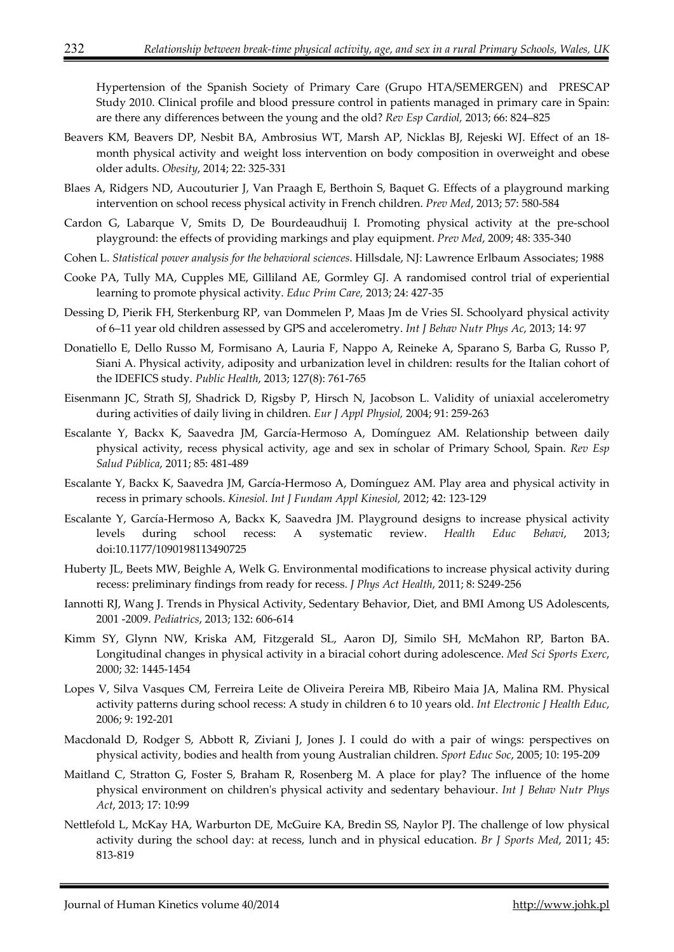Hypertension of the Spanish Society of Primary Care (Grupo HTA/SEMERGEN) and PRESCAP Study 2010. Clinical profile and blood pressure control in patients managed in primary care in Spain: are there any differences between the young and the old? *Rev Esp Cardiol,* 2013; 66: 824–825

- Beavers KM, Beavers DP, Nesbit BA, Ambrosius WT, Marsh AP, Nicklas BJ, Rejeski WJ. Effect of an 18 month physical activity and weight loss intervention on body composition in overweight and obese older adults. *Obesity*, 2014; 22: 325-331
- Blaes A, Ridgers ND, Aucouturier J, Van Praagh E, Berthoin S, Baquet G. Effects of a playground marking intervention on school recess physical activity in French children. *Prev Med*, 2013; 57: 580-584
- Cardon G, Labarque V, Smits D, De Bourdeaudhuij I. Promoting physical activity at the pre-school playground: the effects of providing markings and play equipment. *Prev Med*, 2009; 48: 335-340
- Cohen L. *Statistical power analysis for the behavioral sciences*. Hillsdale, NJ: Lawrence Erlbaum Associates; 1988
- Cooke PA, Tully MA, Cupples ME, Gilliland AE, Gormley GJ. A randomised control trial of experiential learning to promote physical activity. *Educ Prim Care,* 2013; 24: 427-35
- Dessing D, Pierik FH, Sterkenburg RP, van Dommelen P, Maas Jm de Vries SI. Schoolyard physical activity of 6–11 year old children assessed by GPS and accelerometry. *Int J Behav Nutr Phys Ac*, 2013; 14: 97
- Donatiello E, Dello Russo M, Formisano A, Lauria F, Nappo A, Reineke A, Sparano S, Barba G, Russo P, Siani A. Physical activity, adiposity and urbanization level in children: results for the Italian cohort of the IDEFICS study. *Public Health*, 2013; 127(8): 761-765
- Eisenmann JC, Strath SJ, Shadrick D, Rigsby P, Hirsch N, Jacobson L. Validity of uniaxial accelerometry during activities of daily living in children. *Eur J Appl Physiol,* 2004; 91: 259-263
- Escalante Y, Backx K, Saavedra JM, García-Hermoso A, Domínguez AM. Relationship between daily physical activity, recess physical activity, age and sex in scholar of Primary School, Spain. *Rev Esp Salud Pública*, 2011; 85: 481-489
- Escalante Y, Backx K, Saavedra JM, García-Hermoso A, Domínguez AM. Play area and physical activity in recess in primary schools. *Kinesiol. Int J Fundam Appl Kinesiol,* 2012; 42: 123-129
- Escalante Y, García-Hermoso A, Backx K, Saavedra JM. Playground designs to increase physical activity levels during school recess: A systematic review. *Health Educ Behavi*, 2013; doi:10.1177/1090198113490725
- Huberty JL, Beets MW, Beighle A, Welk G. Environmental modifications to increase physical activity during recess: preliminary findings from ready for recess. *J Phys Act Health*, 2011; 8: S249-256
- Iannotti RJ, Wang J. Trends in Physical Activity, Sedentary Behavior, Diet, and BMI Among US Adolescents, 2001 -2009. *Pediatrics*, 2013; 132: 606-614
- Kimm SY, Glynn NW, Kriska AM, Fitzgerald SL, Aaron DJ, Similo SH, McMahon RP, Barton BA. Longitudinal changes in physical activity in a biracial cohort during adolescence. *Med Sci Sports Exerc*, 2000; 32: 1445-1454
- Lopes V, Silva Vasques CM, Ferreira Leite de Oliveira Pereira MB, Ribeiro Maia JA, Malina RM. Physical activity patterns during school recess: A study in children 6 to 10 years old. *Int Electronic J Health Educ*, 2006; 9: 192-201
- Macdonald D, Rodger S, Abbott R, Ziviani J, Jones J. I could do with a pair of wings: perspectives on physical activity, bodies and health from young Australian children. *Sport Educ Soc*, 2005; 10: 195-209
- Maitland C, Stratton G, Foster S, Braham R, Rosenberg M. A place for play? The influence of the home physical environment on children's physical activity and sedentary behaviour. *Int J Behav Nutr Phys Act*, 2013; 17: 10:99
- Nettlefold L, McKay HA, Warburton DE, McGuire KA, Bredin SS, Naylor PJ. The challenge of low physical activity during the school day: at recess, lunch and in physical education. *Br J Sports Med*, 2011; 45: 813-819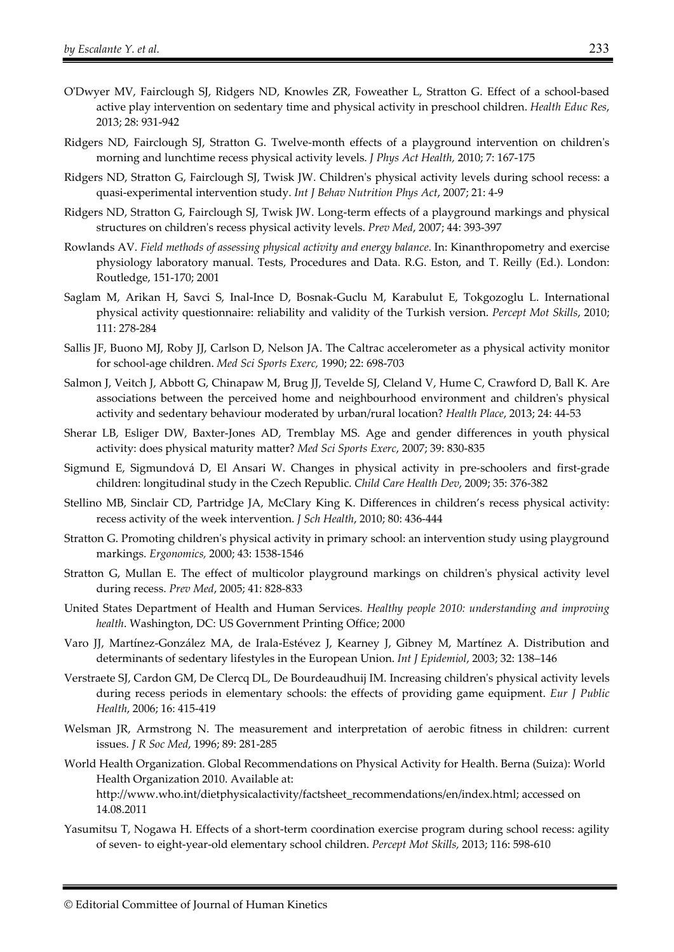- O'Dwyer MV, Fairclough SJ, Ridgers ND, Knowles ZR, Foweather L, Stratton G. Effect of a school-based active play intervention on sedentary time and physical activity in preschool children. *Health Educ Res*, 2013; 28: 931-942
- Ridgers ND, Fairclough SJ, Stratton G. Twelve-month effects of a playground intervention on children's morning and lunchtime recess physical activity levels. *J Phys Act Health,* 2010; 7: 167-175
- Ridgers ND, Stratton G, Fairclough SJ, Twisk JW. Children's physical activity levels during school recess: a quasi-experimental intervention study. *Int J Behav Nutrition Phys Act*, 2007; 21: 4-9
- Ridgers ND, Stratton G, Fairclough SJ, Twisk JW. Long-term effects of a playground markings and physical structures on children's recess physical activity levels. *Prev Med*, 2007; 44: 393-397
- Rowlands AV. *Field methods of assessing physical activity and energy balance*. In: Kinanthropometry and exercise physiology laboratory manual. Tests, Procedures and Data. R.G. Eston, and T. Reilly (Ed.). London: Routledge, 151-170; 2001
- Saglam M, Arikan H, Savci S, Inal-Ince D, Bosnak-Guclu M, Karabulut E, Tokgozoglu L. International physical activity questionnaire: reliability and validity of the Turkish version. *Percept Mot Skills*, 2010; 111: 278-284
- Sallis JF, Buono MJ, Roby JJ, Carlson D, Nelson JA. The Caltrac accelerometer as a physical activity monitor for school-age children. *Med Sci Sports Exerc,* 1990; 22: 698-703
- Salmon J, Veitch J, Abbott G, Chinapaw M, Brug JJ, Tevelde SJ, Cleland V, Hume C, Crawford D, Ball K. Are associations between the perceived home and neighbourhood environment and children's physical activity and sedentary behaviour moderated by urban/rural location? *Health Place*, 2013; 24: 44-53
- Sherar LB, Esliger DW, Baxter-Jones AD, Tremblay MS. Age and gender differences in youth physical activity: does physical maturity matter? *Med Sci Sports Exerc*, 2007; 39: 830-835
- Sigmund E, Sigmundová D, El Ansari W. Changes in physical activity in pre-schoolers and first-grade children: longitudinal study in the Czech Republic. *Child Care Health Dev*, 2009; 35: 376-382
- Stellino MB, Sinclair CD, Partridge JA, McClary King K. Differences in children's recess physical activity: recess activity of the week intervention. *J Sch Health*, 2010; 80: 436-444
- Stratton G. Promoting children's physical activity in primary school: an intervention study using playground markings. *Ergonomics,* 2000; 43: 1538-1546
- Stratton G, Mullan E. The effect of multicolor playground markings on children's physical activity level during recess. *Prev Med*, 2005; 41: 828-833
- United States Department of Health and Human Services. *Healthy people 2010: understanding and improving health*. Washington, DC: US Government Printing Office; 2000
- Varo JJ, Martínez-González MA, de Irala-Estévez J, Kearney J, Gibney M, Martínez A. Distribution and determinants of sedentary lifestyles in the European Union. *Int J Epidemiol*, 2003; 32: 138–146
- Verstraete SJ, Cardon GM, De Clercq DL, De Bourdeaudhuij IM. Increasing children's physical activity levels during recess periods in elementary schools: the effects of providing game equipment. *Eur J Public Health*, 2006; 16: 415-419
- Welsman JR, Armstrong N. The measurement and interpretation of aerobic fitness in children: current issues. *J R Soc Med*, 1996; 89: 281-285
- World Health Organization. Global Recommendations on Physical Activity for Health. Berna (Suiza): World Health Organization 2010. Available at:

http://www.who.int/dietphysicalactivity/factsheet\_recommendations/en/index.html; accessed on 14.08.2011

Yasumitsu T, Nogawa H. Effects of a short-term coordination exercise program during school recess: agility of seven- to eight-year-old elementary school children. *Percept Mot Skills,* 2013; 116: 598-610